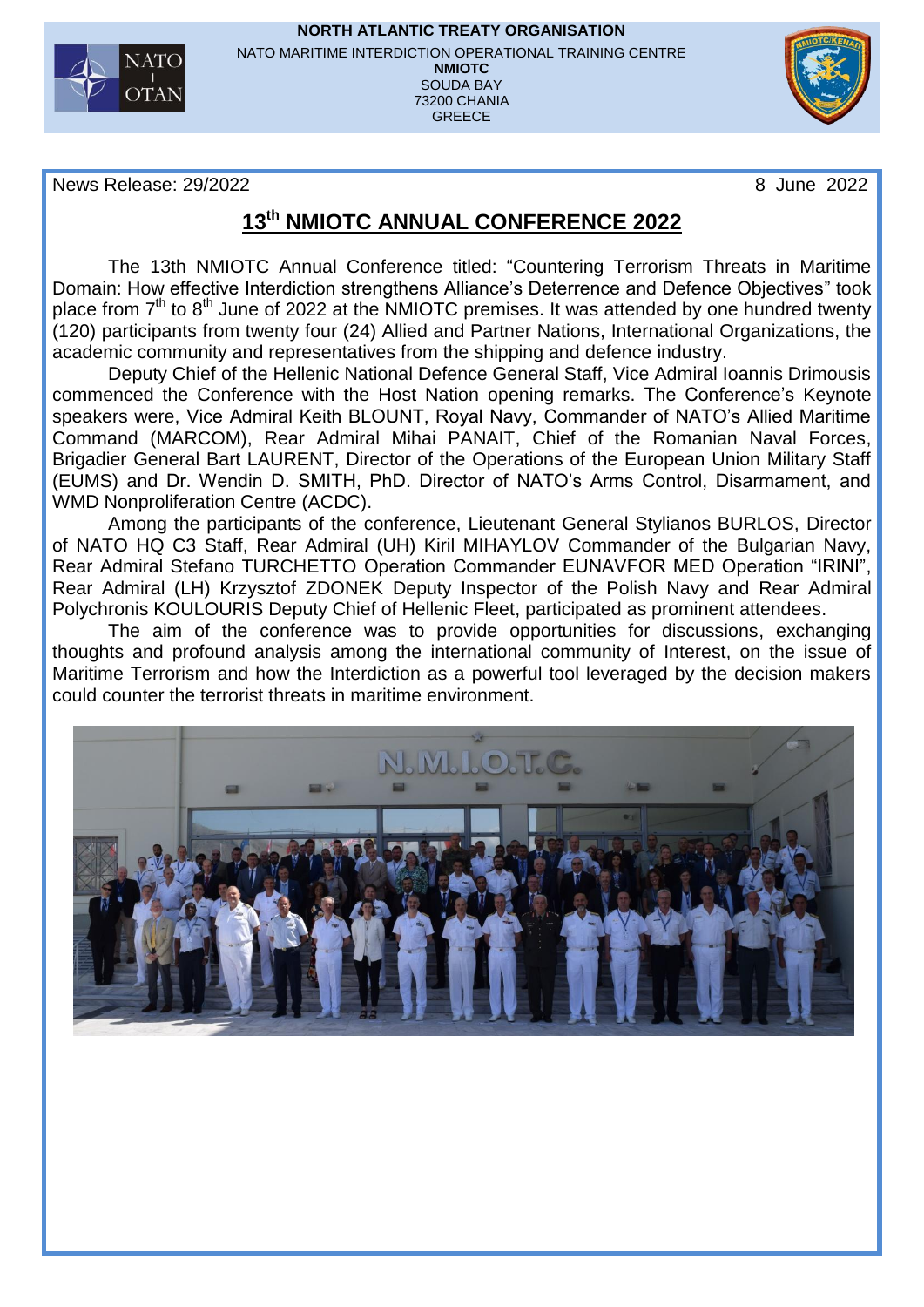

**NORTH ATLANTIC TREATY ORGANISATION** NATO MARITIME INTERDICTION OPERATIONAL TRAINING CENTRE **NMIOTC** SOUDA BAY 73200 CHANIA GREECE



News Release: 29/2022 8 June 2022

## **13 th NMIOTC ANNUAL CONFERENCE 2022**

The 13th NMIOTC Annual Conference titled: "Countering Terrorism Threats in Maritime Domain: How effective Interdiction strengthens Alliance's Deterrence and Defence Objectives" took place from 7<sup>th</sup> to 8<sup>th</sup> June of 2022 at the NMIOTC premises. It was attended by one hundred twenty (120) participants from twenty four (24) Allied and Partner Nations, International Organizations, the academic community and representatives from the shipping and defence industry.

Deputy Chief of the Hellenic National Defence General Staff, Vice Admiral Ioannis Drimousis commenced the Conference with the Host Nation opening remarks. The Conference's Keynote speakers were, Vice Admiral Keith BLOUNT, Royal Navy, Commander of NATO's Allied Maritime Command (MARCOM), Rear Admiral Mihai PANAIT, Chief of the Romanian Naval Forces, Brigadier General Bart LAURENT, Director of the Operations of the European Union Military Staff (EUMS) and Dr. Wendin D. SMITH, PhD. Director of NATO's Arms Control, Disarmament, and WMD Nonproliferation Centre (ACDC).

Among the participants of the conference, Lieutenant General Stylianos BURLOS, Director of NATO HQ C3 Staff, Rear Admiral (UH) Kiril MIHAYLOV Commander of the Bulgarian Navy, Rear Admiral Stefano TURCHETTO Operation Commander EUNAVFOR MED Operation "IRINI", Rear Admiral (LH) Krzysztof ZDONEK Deputy Inspector of the Polish Navy and Rear Admiral Polychronis KOULOURIS Deputy Chief of Hellenic Fleet, participated as prominent attendees.

The aim of the conference was to provide opportunities for discussions, exchanging thoughts and profound analysis among the international community of Interest, on the issue of Maritime Terrorism and how the Interdiction as a powerful tool leveraged by the decision makers could counter the terrorist threats in maritime environment.